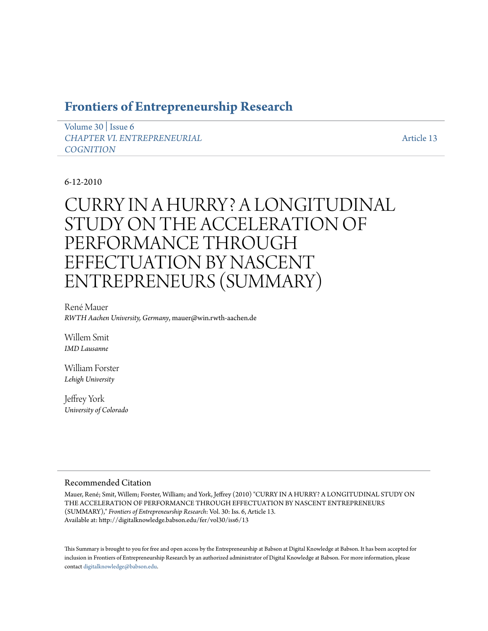# **[Frontiers of Entrepreneurship Research](http://digitalknowledge.babson.edu/fer)**

[Volume 30](http://digitalknowledge.babson.edu/fer/vol30) | [Issue 6](http://digitalknowledge.babson.edu/fer/vol30/iss6) *[CHAPTER VI. ENTREPRENEURIAL](http://digitalknowledge.babson.edu/fer/vol30/iss6) [COGNITION](http://digitalknowledge.babson.edu/fer/vol30/iss6)*

[Article 13](http://digitalknowledge.babson.edu/fer/vol30/iss6/13)

# 6-12-2010

# CURRY IN A HURRY? A LONGITUDINAL STUDY ON THE ACCELERATION OF PERFORMANCE THROUGH EFFECTUATION BY NASCENT ENTREPRENEURS (SUMMARY)

René Mauer *RWTH Aachen University, Germany*, mauer@win.rwth-aachen.de

Willem Smit *IMD Lausanne*

William Forster *Lehigh University*

Jeffrey York *University of Colorado*

## Recommended Citation

Mauer, René; Smit, Willem; Forster, William; and York, Jeffrey (2010) "CURRY IN A HURRY? A LONGITUDINAL STUDY ON THE ACCELERATION OF PERFORMANCE THROUGH EFFECTUATION BY NASCENT ENTREPRENEURS (SUMMARY)," *Frontiers of Entrepreneurship Research*: Vol. 30: Iss. 6, Article 13. Available at: http://digitalknowledge.babson.edu/fer/vol30/iss6/13

This Summary is brought to you for free and open access by the Entrepreneurship at Babson at Digital Knowledge at Babson. It has been accepted for inclusion in Frontiers of Entrepreneurship Research by an authorized administrator of Digital Knowledge at Babson. For more information, please contact [digitalknowledge@babson.edu](mailto:digitalknowledge@babson.edu).